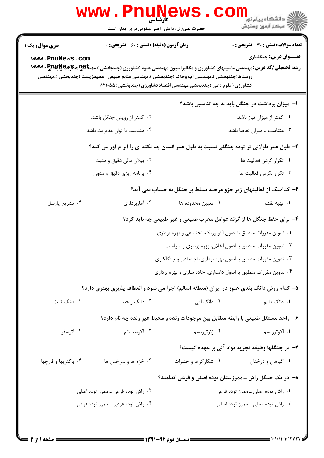|                                                                                                                                                                                                                                                                                                                                                           | <b>WWW.PNUN</b><br>کار شناسی<br>حضرت علی(ع): دانش راهبر نیکویی برای ایمان است            |                                                                                   | ڪ دانشڪاه پيا <sub>م</sub> نور<br><mark>√</mark> مرڪز آزمون وسنڊش |  |  |
|-----------------------------------------------------------------------------------------------------------------------------------------------------------------------------------------------------------------------------------------------------------------------------------------------------------------------------------------------------------|------------------------------------------------------------------------------------------|-----------------------------------------------------------------------------------|-------------------------------------------------------------------|--|--|
| <b>سری سوال :</b> یک ۱                                                                                                                                                                                                                                                                                                                                    | <b>زمان آزمون (دقیقه) : تستی : 60 ٪ تشریحی : 0</b>                                       |                                                                                   | تعداد سوالات : تستى : 30 ٪ تشريحي : 0                             |  |  |
| <b>عنـــوان درس:</b> جنگلداري<br>www.PnuNews.com<br><b>رشته تحصیلی/کد درس: م</b> هندسی ماشینهای کشاورزی و مکانیزاسیون،مهندسی علوم کشاورزی (چندبخشی )،مهنگهی بهچیلهای <b>WWV . P</b><br>روستاها(چندبخشی )،مهندسی آب وخاک (چندبخشی )،مهندسی منابع طبیعی –محیطزیست (چندبخشی )،مهندسی<br>کشاورزی (علوم دامی )چندبخشی،مهندسی اقتصادکشاورزی (چندبخشی )۱۱۲۱۰۵۵ ( |                                                                                          |                                                                                   |                                                                   |  |  |
|                                                                                                                                                                                                                                                                                                                                                           |                                                                                          |                                                                                   | ا– میزان برداشت در جنگل باید به چه تناسبی باشد؟                   |  |  |
|                                                                                                                                                                                                                                                                                                                                                           | ۰۲ کمتر از رویش جنگل باشد.                                                               |                                                                                   | ۰۱ کمتر از میزان نیاز باشد.                                       |  |  |
|                                                                                                                                                                                                                                                                                                                                                           | ۰۴ متناسب با توان مدیریت باشد.                                                           |                                                                                   | ۰۳ متناسب با میزان تقاضا باشد.                                    |  |  |
| ۲- طول عمر طولانی تر توده جنگلی نسبت به طول عمر انسان چه نکته ای را الزام آور می کند؟                                                                                                                                                                                                                                                                     |                                                                                          |                                                                                   |                                                                   |  |  |
|                                                                                                                                                                                                                                                                                                                                                           | ۰۲ بیلان مالی دقیق و مثبت                                                                |                                                                                   | ٠١ تكرار كردن فعاليت ها                                           |  |  |
|                                                                                                                                                                                                                                                                                                                                                           | ۰۴ برنامه ریزی دقیق و مدون                                                               |                                                                                   | ۰۳ تکرار نکردن فعالیت ها                                          |  |  |
|                                                                                                                                                                                                                                                                                                                                                           |                                                                                          | ۳- کدامیک از فعالیتهای زیر جزو مرحله تسلط بر جنگل به حساب نمی آید؟                |                                                                   |  |  |
| ۰۴ تشریح پارسل                                                                                                                                                                                                                                                                                                                                            | ۰۳ آماربرداری                                                                            | ۰۲ تعيين محدوده ها                                                                | ۰۱ تهیه نقشه                                                      |  |  |
|                                                                                                                                                                                                                                                                                                                                                           |                                                                                          | ۴- برای حفظ جنگل ها از گزند عوامل مخرب طبیعی و غیر طبیعی چه باید کرد؟             |                                                                   |  |  |
|                                                                                                                                                                                                                                                                                                                                                           |                                                                                          | ۰۱ تدوین مقررات منطبق با اصول اکولوژیک، اجتماعی و بهره برداری                     |                                                                   |  |  |
|                                                                                                                                                                                                                                                                                                                                                           |                                                                                          | ۰۲ تدوین مقررات منطبق با اصول اخلاق، بهره برداری و سیاست                          |                                                                   |  |  |
|                                                                                                                                                                                                                                                                                                                                                           |                                                                                          | ۰۳ تدوین مقررات منطبق با اصول بهره برداری، اجتماعی و جنگلکاری                     |                                                                   |  |  |
|                                                                                                                                                                                                                                                                                                                                                           |                                                                                          | ۰۴ تدوین مقررات منطبق با اصول دامداری، جاده سازی و بهره برداری                    |                                                                   |  |  |
|                                                                                                                                                                                                                                                                                                                                                           | ۵– کدام روش دانگ بندی هنوز در ایران (منطقه اسالم) اجرا می شود و انعطاف پذیری بهتری دارد؟ |                                                                                   |                                                                   |  |  |
| ۰۴ دانگ ثابت                                                                                                                                                                                                                                                                                                                                              | ۰۳ دانگ واحد                                                                             | ۰۲ دانگ آبی                                                                       | ۰۱ دانگ دایم                                                      |  |  |
|                                                                                                                                                                                                                                                                                                                                                           |                                                                                          | ۶– واحد مستقل طبیعی با رابطه متقابل بین موجودات زنده و محیط غیر زنده چه نام دارد؟ |                                                                   |  |  |
| ۰۴ اتوسفر                                                                                                                                                                                                                                                                                                                                                 | ۰۳ اکوسیستم                                                                              | ۰۲ ژئوتوریسم                                                                      | ۰۱ اکوتوریسم                                                      |  |  |
|                                                                                                                                                                                                                                                                                                                                                           |                                                                                          |                                                                                   | ٧– در جنگلها وظيفه تجزيه مواد آلي بر عهده كيست؟                   |  |  |
| ۰۴ باکتریها و قارچها                                                                                                                                                                                                                                                                                                                                      | ۰۳ خزه ها و سرخس ها                                                                      | ۰۲ شکارگرها و حشرات                                                               | ٠١ گياهان و درختان                                                |  |  |
|                                                                                                                                                                                                                                                                                                                                                           |                                                                                          | ۸– در یک جنگل راش ـ ممرزستان توده اصلی و فرعی کدامند؟                             |                                                                   |  |  |
| ۰۲ راش توده فرعی ـ ممرز توده اصلی                                                                                                                                                                                                                                                                                                                         |                                                                                          |                                                                                   | ۰۱ راش توده اصلی ـ ممرز توده فرعی                                 |  |  |
| ۰۴ راش توده فرعی ـ ممرز توده فرعی                                                                                                                                                                                                                                                                                                                         |                                                                                          |                                                                                   | ۰۳ راش توده اصلی ـ ممرز توده اصلی                                 |  |  |
|                                                                                                                                                                                                                                                                                                                                                           |                                                                                          |                                                                                   |                                                                   |  |  |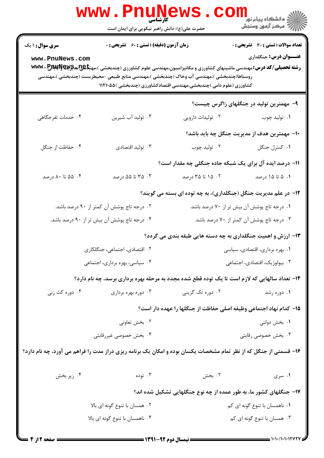|                               | <b>WWW . PILUNG</b><br><b>کارشناسی</b><br>حضرت علی(ع): دانش راهبر نیکویی برای ایمان است                           |                                                                                                                                                                    | الاد دانشگاه پیام نور<br>الاستخار بیام نور<br>الاستخار آزمون وسنجش |  |  |
|-------------------------------|-------------------------------------------------------------------------------------------------------------------|--------------------------------------------------------------------------------------------------------------------------------------------------------------------|--------------------------------------------------------------------|--|--|
| <b>سری سوال : ۱ یک</b>        | <b>زمان آزمون (دقیقه) : تستی : 60 ٪ تشریحی : 0</b>                                                                |                                                                                                                                                                    | <b>تعداد سوالات : تستی : 30 ٪ تشریحی : 0</b>                       |  |  |
| www.PnuNews.com               |                                                                                                                   | <b>رشته تحصیلی/کد درس:</b> مهندسی ماشینهای کشاورزی و مکانیزاسیون،مهندسی علوم کشاورزی (چندبخشی )،مهن <b>تایپریتیپ www . P</b>                                       | <b>عنـــوان درس:</b> جنگلداری                                      |  |  |
|                               |                                                                                                                   | روستاها(چندبخشی )،مهندسی آب وخاک (چندبخشی )،مهندسی منابع طبیعی –محیطزیست (چندبخشی )،مهندسی<br>کشاورزی (علوم دامی )چندبخشی،مهندسی اقتصادکشاورزی (چندبخشی )۱۱۲۱۰۵۵ ( |                                                                    |  |  |
|                               |                                                                                                                   |                                                                                                                                                                    | ۹- مهمترین تولید در جنگلهای زاگرس چیست؟                            |  |  |
| ۰۴ خدمات تفرجگاهی             | ۰۳ تولید آب شیرین                                                                                                 | ۰۲ تولیدات دارویی                                                                                                                                                  | ۰۱ تولید چوب                                                       |  |  |
|                               |                                                                                                                   |                                                                                                                                                                    | ∙ا− مهمترین هدف از مدیریت جنگل چه باید باشد؟                       |  |  |
| ۰۴ حفاظت از جنگل              | ۰۳ تولید اقتصادی                                                                                                  | ۰۲ تولید چوب                                                                                                                                                       | ۰۱ کنترل جنگل                                                      |  |  |
|                               |                                                                                                                   | ۱۱– درصد ایده آل برای یک شبکه جاده جنگلی چه مقدار است؟                                                                                                             |                                                                    |  |  |
| ۰۴ ۵۵ تا ۸۰ درصد              | ۰۳ تا ۵۵ درصد                                                                                                     | ۰۲ ۱۵ تا ۳۵ درصد                                                                                                                                                   | ۰۱ ۵ تا ۱۵ درصد                                                    |  |  |
|                               |                                                                                                                   | ۱۲- در علم مدیریت جنگل (جنگلداری)، به چه توده ای بسته می گویند؟                                                                                                    |                                                                    |  |  |
|                               | ۰۲ درجه تاج پوشش آن کمتر از ۹۰ درصد باشد.                                                                         |                                                                                                                                                                    | ۰۱ درجه تاج پوشش آن بیش تر از ۷۰ درصد باشد.                        |  |  |
|                               | ۰۴ درجه تاج پوشش آن بیش تر از ۹۰ درصد باشد.                                                                       |                                                                                                                                                                    | ۰۳ درجه تاج پوشش آن کمتر از ۷۰ درصد باشد.                          |  |  |
|                               |                                                                                                                   | ۱۳- ارزش و اهمیت جنگلداری به چه دسته هایی طبقه بندی می گردد؟                                                                                                       |                                                                    |  |  |
|                               | ۲. اقتصادی، اجتماعی، جنگلکاری                                                                                     | ۰۱ بهره برداری، اقتصادی، سیاسی                                                                                                                                     |                                                                    |  |  |
|                               | ۰۴ سیاسی، بهره برداری، اجتماعی                                                                                    | ۰۳ بیولوژیک، اقتصادی، اجتماعی                                                                                                                                      |                                                                    |  |  |
|                               |                                                                                                                   | ۱۴- تعداد سالهایی که لازم است تا یک توده قطع شده مجدد به مرحله بهره برداری برسد، چه نام دارد؟                                                                      |                                                                    |  |  |
| ۰۴ دوره کت زنی                | ۰۳ دوره بهره برداری                                                                                               | ۰۲ دوره تک گزینی                                                                                                                                                   | ۰۱ دوره رشد                                                        |  |  |
|                               |                                                                                                                   | ۱۵– کدام نهاد اجتماعی وظیفه اصلی حفاظت از جنگلها را عهده دار است؟                                                                                                  |                                                                    |  |  |
|                               | ۰۲ بخش تعاونی                                                                                                     |                                                                                                                                                                    | ۰۱ بخش دولتی                                                       |  |  |
|                               | ۰۴ بخش خصوصی غیررقابتی                                                                                            |                                                                                                                                                                    | ۰۳ بخش خصوصی رقابتی                                                |  |  |
|                               | ۱۶- قسمتی از جنگل که از نظر تمام مشخصات یکسان بوده و امکان یک برنامه ریزی دراز مدت را فراهم می آورد، چه نام دارد؟ |                                                                                                                                                                    |                                                                    |  |  |
| ۰۴ زیر بخش                    | ۰۳ توده                                                                                                           | ۰۲ بخش                                                                                                                                                             | ۰۱ سری                                                             |  |  |
|                               |                                                                                                                   | ۱۷- جنگلهای کشور ما، به طور عمده از چه نوع جنگلهایی تشکیل شده اند؟                                                                                                 |                                                                    |  |  |
| ۰۲ همسان با تنوع گونه ای بالا |                                                                                                                   | ۰۱ ناهمسان با تنوع گونه ای کم                                                                                                                                      |                                                                    |  |  |
|                               | ۰۴ ناهمسان با تنوع گونه ای بالا                                                                                   |                                                                                                                                                                    | ۰۳ همسان با تنوع گونه ای کم                                        |  |  |
|                               |                                                                                                                   |                                                                                                                                                                    |                                                                    |  |  |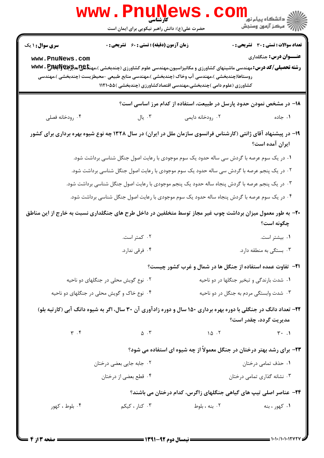|                                                                                                                                           | <b>www.PnuNews</b><br><b>کارشناسی</b>                                                                                                                                                                                                                                                                   |                  |                                                                       |  |  |  |
|-------------------------------------------------------------------------------------------------------------------------------------------|---------------------------------------------------------------------------------------------------------------------------------------------------------------------------------------------------------------------------------------------------------------------------------------------------------|------------------|-----------------------------------------------------------------------|--|--|--|
|                                                                                                                                           | حضرت علی(ع): دانش راهبر نیکویی برای ایمان است                                                                                                                                                                                                                                                           |                  |                                                                       |  |  |  |
| <b>سری سوال : ۱ یک</b>                                                                                                                    | <b>زمان آزمون (دقیقه) : تستی : 60 ٪ تشریحی : 0</b>                                                                                                                                                                                                                                                      |                  | تعداد سوالات : تستي : 30 - تشريحي : 0                                 |  |  |  |
| www.PnuNews.com                                                                                                                           | <b>رشته تحصیلی/کد درس:</b> مهندسی ماشینهای کشاورزی و مکانیزاسیون،مهندسی علوم کشاورزی (چندبخشی )،مهن <del>تا @U</del> NG و WWW . P<br>روستاها(چندبخشی )،مهندسی آب وخاک (چندبخشی )،مهندسی منابع طبیعی -محیطزیست (چندبخشی )،مهندسی<br>کشاورزی (علوم دامی )چندبخشی،مهندسی اقتصادکشاورزی (چندبخشی )۱۱۲۱۰۵۵ ( |                  | عنـــوان درس: جنگلداری                                                |  |  |  |
|                                                                                                                                           |                                                                                                                                                                                                                                                                                                         |                  | ۱۸– در مشخص نمودن حدود پارسل در طبیعت، استفاده از کدام مرز اساسی است؟ |  |  |  |
| ۰۴ رودخانه فصلی                                                                                                                           | ا يال $\cdot$                                                                                                                                                                                                                                                                                           | ۰۲ رودخانه دایمی | ۰۱ جاده                                                               |  |  |  |
| ۱۹– در پیشنهاد آقای ژانتی (کارشناس فرانسوی سازمان ملل در ایران) در سال ۱۳۲۸ چه نوع شیوه بهره برداری برای کشور<br>ایران آمده است؟          |                                                                                                                                                                                                                                                                                                         |                  |                                                                       |  |  |  |
|                                                                                                                                           | ۰۱ در یک سوم عرصه با گردش سی ساله حدود یک سوم موجودی با رعایت اصول جنگل شناسی برداشت شود.                                                                                                                                                                                                               |                  |                                                                       |  |  |  |
|                                                                                                                                           | ۰۲ در یک پنجم عرصه با گردش سی ساله حدود یک سوم موجودی با رعایت اصول جنگل شناسی برداشت شود.                                                                                                                                                                                                              |                  |                                                                       |  |  |  |
|                                                                                                                                           | ۰۳ در یک پنجم عرصه با گردش پنجاه ساله حدود یک پنجم موجودی با رعایت اصول جنگل شناسی برداشت شود.                                                                                                                                                                                                          |                  |                                                                       |  |  |  |
|                                                                                                                                           | ۰۴ در یک سوم عرصه با گردش پنجاه ساله حدود یک سوم موجودی با رعایت اصول جنگل شناسی برداشت شود.                                                                                                                                                                                                            |                  |                                                                       |  |  |  |
|                                                                                                                                           | +۲- به طور معمول میزان برداشت چوب غیر مجاز توسط متخلفین در داخل طرح های جنگلداری نسبت به خارج از این مناطق                                                                                                                                                                                              |                  | چگونه است؟                                                            |  |  |  |
|                                                                                                                                           | ۰۲ کمتر است.                                                                                                                                                                                                                                                                                            |                  | ٠١ بيشتر است.                                                         |  |  |  |
|                                                                                                                                           | ۰۴ فرقی ندارد.                                                                                                                                                                                                                                                                                          |                  | ۰۳ بستگی به منطقه دارد.                                               |  |  |  |
|                                                                                                                                           |                                                                                                                                                                                                                                                                                                         |                  | <b>۲۱</b> - تفاوت عمده استفاده از جنگل ها در شمال و غرب کشور چیست؟    |  |  |  |
|                                                                                                                                           | ۰۲ نوع گویش محلی در جنگلهای دو ناحیه                                                                                                                                                                                                                                                                    |                  | ٠١ شدت بارندگی و تبخير جنگلها در دو ناحيه                             |  |  |  |
|                                                                                                                                           | ۰۴ نوع خاک و گویش محلی در جنگلهای دو ناحیه                                                                                                                                                                                                                                                              |                  | ۰۳ شدت وابستگی مردم به جنگل در دو ناحیه                               |  |  |  |
| ۲۲- تعداد دانگ در جنگلی با دوره بهره برداری ۱۵۰ سال و دوره زادآوری آن ۳۰ سال، اگر به شیوه دانگ آبی (کارتیه بلو)<br>مدیریت گردد، چقدر است؟ |                                                                                                                                                                                                                                                                                                         |                  |                                                                       |  |  |  |
| $\Upsilon$ . $\Upsilon$                                                                                                                   | $\Delta$ . T                                                                                                                                                                                                                                                                                            | 10.7             | $\uparrow \cdot \quad \uparrow$                                       |  |  |  |
|                                                                                                                                           | ۲۳- برای رشد بهتر درختان در جنگل معمولاً از چه شیوه ای استفاده می شود؟                                                                                                                                                                                                                                  |                  |                                                                       |  |  |  |
|                                                                                                                                           | ۰۲ جابه جایی بعضی درختان                                                                                                                                                                                                                                                                                |                  | ۰۱ حذف تمامی درختان                                                   |  |  |  |
|                                                                                                                                           | ۰۴ قطع بعضي از درختان                                                                                                                                                                                                                                                                                   |                  | ۰۳ نشانه گذاری تمامی درختان                                           |  |  |  |
| <b>۲۴</b> - عناصر اصلی تیپ های گیاهی جنگلهای زاگرس، کدام درختان می باشند؟                                                                 |                                                                                                                                                                                                                                                                                                         |                  |                                                                       |  |  |  |
| ۰۴ بلوط، کهور                                                                                                                             | ۰۳ کنار ، کیکم                                                                                                                                                                                                                                                                                          | ۰۲ بنه ، بلوط    | ۰۱ کهور ، بنه                                                         |  |  |  |
|                                                                                                                                           |                                                                                                                                                                                                                                                                                                         |                  |                                                                       |  |  |  |